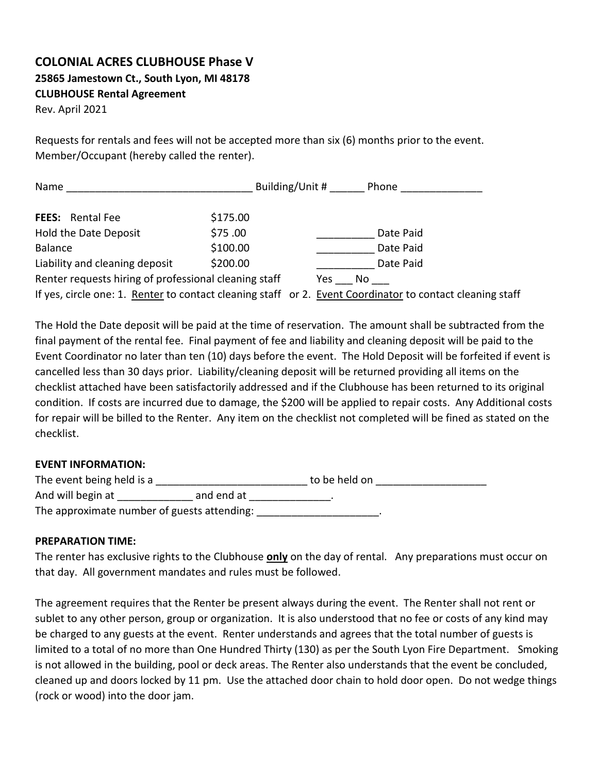## **COLONIAL ACRES CLUBHOUSE Phase V 25865 Jamestown Ct., South Lyon, MI 48178 CLUBHOUSE Rental Agreement**

Rev. April 2021

Requests for rentals and fees will not be accepted more than six (6) months prior to the event. Member/Occupant (hereby called the renter).

| Name                                                                                                      | Building/Unit # | Phone     |
|-----------------------------------------------------------------------------------------------------------|-----------------|-----------|
| \$175.00<br><b>FEES:</b> Rental Fee                                                                       |                 |           |
| \$75.00<br>Hold the Date Deposit                                                                          |                 | Date Paid |
| \$100.00<br><b>Balance</b>                                                                                |                 | Date Paid |
| \$200.00<br>Liability and cleaning deposit                                                                |                 | Date Paid |
| Renter requests hiring of professional cleaning staff                                                     | Yes             | No.       |
| If yes, circle one: 1. Renter to contact cleaning staff or 2. Event Coordinator to contact cleaning staff |                 |           |

The Hold the Date deposit will be paid at the time of reservation. The amount shall be subtracted from the final payment of the rental fee. Final payment of fee and liability and cleaning deposit will be paid to the Event Coordinator no later than ten (10) days before the event. The Hold Deposit will be forfeited if event is cancelled less than 30 days prior. Liability/cleaning deposit will be returned providing all items on the checklist attached have been satisfactorily addressed and if the Clubhouse has been returned to its original condition. If costs are incurred due to damage, the \$200 will be applied to repair costs. Any Additional costs for repair will be billed to the Renter. Any item on the checklist not completed will be fined as stated on the checklist.

#### **EVENT INFORMATION:**

| The event being held is a<br>to be held on  |            |  |  |
|---------------------------------------------|------------|--|--|
| And will begin at                           | and end at |  |  |
| The approximate number of guests attending: |            |  |  |

#### **PREPARATION TIME:**

The renter has exclusive rights to the Clubhouse **only** on the day of rental. Any preparations must occur on that day. All government mandates and rules must be followed.

The agreement requires that the Renter be present always during the event. The Renter shall not rent or sublet to any other person, group or organization. It is also understood that no fee or costs of any kind may be charged to any guests at the event. Renter understands and agrees that the total number of guests is limited to a total of no more than One Hundred Thirty (130) as per the South Lyon Fire Department. Smoking is not allowed in the building, pool or deck areas. The Renter also understands that the event be concluded, cleaned up and doors locked by 11 pm. Use the attached door chain to hold door open. Do not wedge things (rock or wood) into the door jam.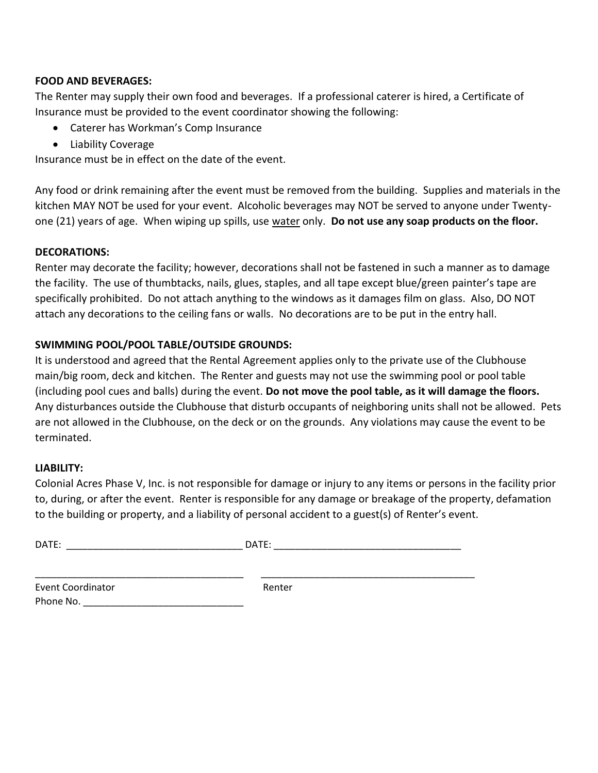## **FOOD AND BEVERAGES:**

The Renter may supply their own food and beverages. If a professional caterer is hired, a Certificate of Insurance must be provided to the event coordinator showing the following:

- Caterer has Workman's Comp Insurance
- Liability Coverage

Insurance must be in effect on the date of the event.

Any food or drink remaining after the event must be removed from the building. Supplies and materials in the kitchen MAY NOT be used for your event. Alcoholic beverages may NOT be served to anyone under Twentyone (21) years of age. When wiping up spills, use water only. **Do not use any soap products on the floor.**

## **DECORATIONS:**

Renter may decorate the facility; however, decorations shall not be fastened in such a manner as to damage the facility. The use of thumbtacks, nails, glues, staples, and all tape except blue/green painter's tape are specifically prohibited. Do not attach anything to the windows as it damages film on glass. Also, DO NOT attach any decorations to the ceiling fans or walls. No decorations are to be put in the entry hall.

## **SWIMMING POOL/POOL TABLE/OUTSIDE GROUNDS:**

It is understood and agreed that the Rental Agreement applies only to the private use of the Clubhouse main/big room, deck and kitchen. The Renter and guests may not use the swimming pool or pool table (including pool cues and balls) during the event. **Do not move the pool table, as it will damage the floors.** Any disturbances outside the Clubhouse that disturb occupants of neighboring units shall not be allowed. Pets are not allowed in the Clubhouse, on the deck or on the grounds. Any violations may cause the event to be terminated.

#### **LIABILITY:**

Colonial Acres Phase V, Inc. is not responsible for damage or injury to any items or persons in the facility prior to, during, or after the event. Renter is responsible for any damage or breakage of the property, defamation to the building or property, and a liability of personal accident to a guest(s) of Renter's event.

| DATE: | $- -$<br>۱Λ |
|-------|-------------|
|       | .           |

\_\_\_\_\_\_\_\_\_\_\_\_\_\_\_\_\_\_\_\_\_\_\_\_\_\_\_\_\_\_\_\_\_\_\_\_\_\_\_ \_\_\_\_\_\_\_\_\_\_\_\_\_\_\_\_\_\_\_\_\_\_\_\_\_\_\_\_\_\_\_\_\_\_\_\_\_\_\_\_

| Event Coordinator | Renter |
|-------------------|--------|
| Phone No.         |        |